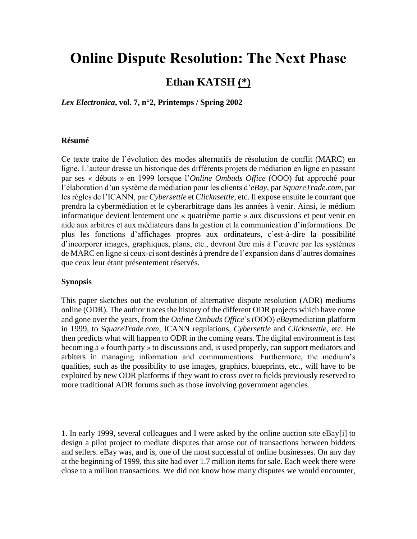# **Online Dispute Resolution: The Next Phase**

## **Ethan KATSH [\(\\*\)](http://www.lex-electronica.org/docs/articles_140.htm#_ftn2)**

*Lex Electronica***, vol. 7, n°2, Printemps / Spring 2002**

#### **Résumé**

Ce texte traite de l'évolution des modes alternatifs de résolution de conflit (MARC) en ligne. L'auteur dresse un historique des différents projets de médiation en ligne en passant par ses « débuts » en 1999 lorsque l'*Online Ombuds Office* (OOO) fut approché pour l'élaboration d'un système de médiation pour les clients d'*eBay*, par *SquareTrade.com*, par les règles de l'ICANN, par *Cybersettle* et *Clicknsettle*, etc. Il expose ensuite le courrant que prendra la cybermédiation et le cyberarbitrage dans les années à venir. Ainsi, le médium informatique devient lentement une « quatrième partie » aux discussions et peut venir en aide aux arbitres et aux médiateurs dans la gestion et la communication d'informations. De plus les fonctions d'affichages propres aux ordinateurs, c'est-à-dire la possibilité d'incorporer images, graphiques, plans, etc., devront être mis à l'œuvre par les systèmes de MARC en ligne si ceux-ci sont destinés à prendre de l'expansion dans d'autres domaines que ceux leur étant présentement réservés.

#### **Synopsis**

This paper sketches out the evolution of alternative dispute resolution (ADR) mediums online (ODR). The author traces the history of the different ODR projects which have come and gone over the years, from the *Online Ombuds Office*'s (OOO) *eBay*mediation platform in 1999, to *SquareTrade.com*, ICANN regulations, *Cybersettle* and *Clicknsettle*, etc. He then predicts what will happen to ODR in the coming years. The digital environment is fast becoming a « fourth party » to discussions and, is used properly, can support mediators and arbiters in managing information and communications. Furthermore, the medium's qualities, such as the possibility to use images, graphics, blueprints, etc., will have to be exploited by new ODR platforms if they want to cross over to fields previously reserved to more traditional ADR forums such as those involving government agencies.

1. In early 1999, several colleagues and I were asked by the online auction site eBa[y\[i\]](http://www.lex-electronica.org/docs/articles_140.htm#_edn1) to design a pilot project to mediate disputes that arose out of transactions between bidders and sellers. eBay was, and is, one of the most successful of online businesses. On any day at the beginning of 1999, this site had over 1.7 million items for sale. Each week there were close to a million transactions. We did not know how many disputes we would encounter,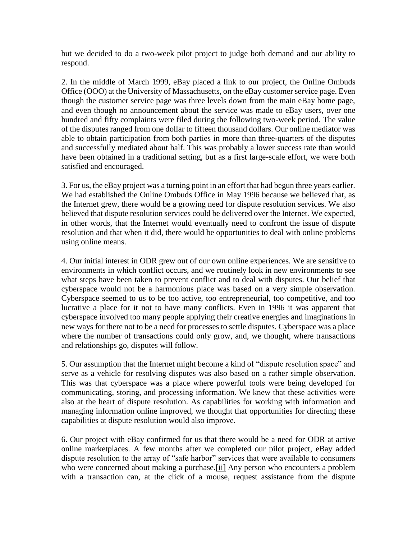but we decided to do a two-week pilot project to judge both demand and our ability to respond.

2. In the middle of March 1999, eBay placed a link to our project, the Online Ombuds Office (OOO) at the University of Massachusetts, on the eBay customer service page. Even though the customer service page was three levels down from the main eBay home page, and even though no announcement about the service was made to eBay users, over one hundred and fifty complaints were filed during the following two-week period. The value of the disputes ranged from one dollar to fifteen thousand dollars. Our online mediator was able to obtain participation from both parties in more than three-quarters of the disputes and successfully mediated about half. This was probably a lower success rate than would have been obtained in a traditional setting, but as a first large-scale effort, we were both satisfied and encouraged.

3. For us, the eBay project was a turning point in an effort that had begun three years earlier. We had established the Online Ombuds Office in May 1996 because we believed that, as the Internet grew, there would be a growing need for dispute resolution services. We also believed that dispute resolution services could be delivered over the Internet. We expected, in other words, that the Internet would eventually need to confront the issue of dispute resolution and that when it did, there would be opportunities to deal with online problems using online means.

4. Our initial interest in ODR grew out of our own online experiences. We are sensitive to environments in which conflict occurs, and we routinely look in new environments to see what steps have been taken to prevent conflict and to deal with disputes. Our belief that cyberspace would not be a harmonious place was based on a very simple observation. Cyberspace seemed to us to be too active, too entrepreneurial, too competitive, and too lucrative a place for it not to have many conflicts. Even in 1996 it was apparent that cyberspace involved too many people applying their creative energies and imaginations in new ways for there not to be a need for processes to settle disputes. Cyberspace was a place where the number of transactions could only grow, and, we thought, where transactions and relationships go, disputes will follow.

5. Our assumption that the Internet might become a kind of "dispute resolution space" and serve as a vehicle for resolving disputes was also based on a rather simple observation. This was that cyberspace was a place where powerful tools were being developed for communicating, storing, and processing information. We knew that these activities were also at the heart of dispute resolution. As capabilities for working with information and managing information online improved, we thought that opportunities for directing these capabilities at dispute resolution would also improve.

6. Our project with eBay confirmed for us that there would be a need for ODR at active online marketplaces. A few months after we completed our pilot project, eBay added dispute resolution to the array of "safe harbor" services that were available to consumers who were concerned about making a purchase[.\[ii\]](http://www.lex-electronica.org/docs/articles_140.htm#_edn2) Any person who encounters a problem with a transaction can, at the click of a mouse, request assistance from the dispute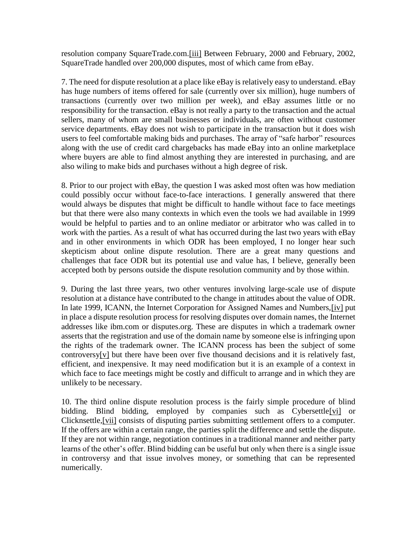resolution company SquareTrade.com[.\[iii\]](http://www.lex-electronica.org/docs/articles_140.htm#_edn3) Between February, 2000 and February, 2002, SquareTrade handled over 200,000 disputes, most of which came from eBay.

7. The need for dispute resolution at a place like eBay is relatively easy to understand. eBay has huge numbers of items offered for sale (currently over six million), huge numbers of transactions (currently over two million per week), and eBay assumes little or no responsibility for the transaction. eBay is not really a party to the transaction and the actual sellers, many of whom are small businesses or individuals, are often without customer service departments. eBay does not wish to participate in the transaction but it does wish users to feel comfortable making bids and purchases. The array of "safe harbor" resources along with the use of credit card chargebacks has made eBay into an online marketplace where buyers are able to find almost anything they are interested in purchasing, and are also wiling to make bids and purchases without a high degree of risk.

8. Prior to our project with eBay, the question I was asked most often was how mediation could possibly occur without face-to-face interactions. I generally answered that there would always be disputes that might be difficult to handle without face to face meetings but that there were also many contexts in which even the tools we had available in 1999 would be helpful to parties and to an online mediator or arbitrator who was called in to work with the parties. As a result of what has occurred during the last two years with eBay and in other environments in which ODR has been employed, I no longer hear such skepticism about online dispute resolution. There are a great many questions and challenges that face ODR but its potential use and value has, I believe, generally been accepted both by persons outside the dispute resolution community and by those within.

9. During the last three years, two other ventures involving large-scale use of dispute resolution at a distance have contributed to the change in attitudes about the value of ODR. In late 1999, ICANN, the Internet Corporation for Assigned Names and Numbers[,\[iv\]](http://www.lex-electronica.org/docs/articles_140.htm#_edn4) put in place a dispute resolution process for resolving disputes over domain names, the Internet addresses like ibm.com or disputes.org. These are disputes in which a trademark owner asserts that the registration and use of the domain name by someone else is infringing upon the rights of the trademark owner. The ICANN process has been the subject of some controvers[y\[v\]](http://www.lex-electronica.org/docs/articles_140.htm#_edn5) but there have been over five thousand decisions and it is relatively fast, efficient, and inexpensive. It may need modification but it is an example of a context in which face to face meetings might be costly and difficult to arrange and in which they are unlikely to be necessary.

10. The third online dispute resolution process is the fairly simple procedure of blind bidding. Blind bidding, employed by companies such as Cybersettl[e\[vi\]](http://www.lex-electronica.org/docs/articles_140.htm#_edn6) or Clicknsettle[,\[vii\]](http://www.lex-electronica.org/docs/articles_140.htm#_edn7) consists of disputing parties submitting settlement offers to a computer. If the offers are within a certain range, the parties split the difference and settle the dispute. If they are not within range, negotiation continues in a traditional manner and neither party learns of the other's offer. Blind bidding can be useful but only when there is a single issue in controversy and that issue involves money, or something that can be represented numerically.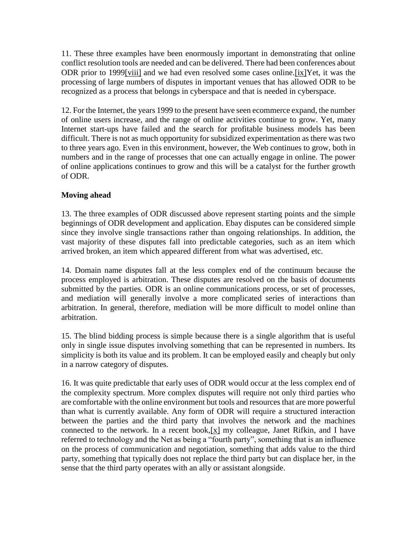11. These three examples have been enormously important in demonstrating that online conflict resolution tools are needed and can be delivered. There had been conferences about ODR prior to 199[9\[viii\]](http://www.lex-electronica.org/docs/articles_140.htm#_edn8) and we had even resolved some cases online[.\[ix\]Y](http://www.lex-electronica.org/docs/articles_140.htm#_edn9)et, it was the processing of large numbers of disputes in important venues that has allowed ODR to be recognized as a process that belongs in cyberspace and that is needed in cyberspace.

12. For the Internet, the years 1999 to the present have seen ecommerce expand, the number of online users increase, and the range of online activities continue to grow. Yet, many Internet start-ups have failed and the search for profitable business models has been difficult. There is not as much opportunity for subsidized experimentation as there was two to three years ago. Even in this environment, however, the Web continues to grow, both in numbers and in the range of processes that one can actually engage in online. The power of online applications continues to grow and this will be a catalyst for the further growth of ODR.

### **Moving ahead**

13. The three examples of ODR discussed above represent starting points and the simple beginnings of ODR development and application. Ebay disputes can be considered simple since they involve single transactions rather than ongoing relationships. In addition, the vast majority of these disputes fall into predictable categories, such as an item which arrived broken, an item which appeared different from what was advertised, etc.

14. Domain name disputes fall at the less complex end of the continuum because the process employed is arbitration. These disputes are resolved on the basis of documents submitted by the parties. ODR is an online communications process, or set of processes, and mediation will generally involve a more complicated series of interactions than arbitration. In general, therefore, mediation will be more difficult to model online than arbitration.

15. The blind bidding process is simple because there is a single algorithm that is useful only in single issue disputes involving something that can be represented in numbers. Its simplicity is both its value and its problem. It can be employed easily and cheaply but only in a narrow category of disputes.

16. It was quite predictable that early uses of ODR would occur at the less complex end of the complexity spectrum. More complex disputes will require not only third parties who are comfortable with the online environment but tools and resources that are more powerful than what is currently available. Any form of ODR will require a structured interaction between the parties and the third party that involves the network and the machines connected to the network. In a recent book[,\[x\]](http://www.lex-electronica.org/docs/articles_140.htm#_edn10) my colleague, Janet Rifkin, and I have referred to technology and the Net as being a "fourth party", something that is an influence on the process of communication and negotiation, something that adds value to the third party, something that typically does not replace the third party but can displace her, in the sense that the third party operates with an ally or assistant alongside.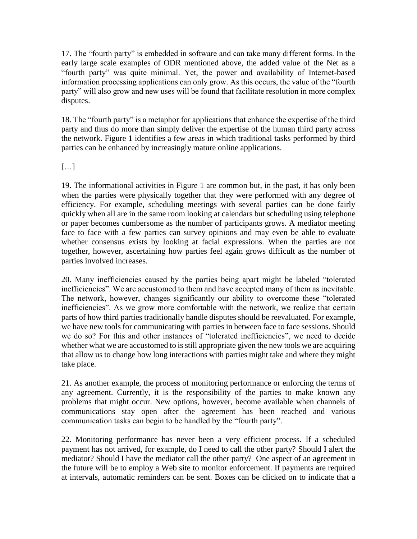17. The "fourth party" is embedded in software and can take many different forms. In the early large scale examples of ODR mentioned above, the added value of the Net as a "fourth party" was quite minimal. Yet, the power and availability of Internet-based information processing applications can only grow. As this occurs, the value of the "fourth party" will also grow and new uses will be found that facilitate resolution in more complex disputes.

18. The "fourth party" is a metaphor for applications that enhance the expertise of the third party and thus do more than simply deliver the expertise of the human third party across the network. Figure 1 identifies a few areas in which traditional tasks performed by third parties can be enhanced by increasingly mature online applications.

## […]

19. The informational activities in Figure 1 are common but, in the past, it has only been when the parties were physically together that they were performed with any degree of efficiency. For example, scheduling meetings with several parties can be done fairly quickly when all are in the same room looking at calendars but scheduling using telephone or paper becomes cumbersome as the number of participants grows. A mediator meeting face to face with a few parties can survey opinions and may even be able to evaluate whether consensus exists by looking at facial expressions. When the parties are not together, however, ascertaining how parties feel again grows difficult as the number of parties involved increases.

20. Many inefficiencies caused by the parties being apart might be labeled "tolerated inefficiencies". We are accustomed to them and have accepted many of them as inevitable. The network, however, changes significantly our ability to overcome these "tolerated inefficiencies". As we grow more comfortable with the network, we realize that certain parts of how third parties traditionally handle disputes should be reevaluated. For example, we have new tools for communicating with parties in between face to face sessions. Should we do so? For this and other instances of "tolerated inefficiencies", we need to decide whether what we are accustomed to is still appropriate given the new tools we are acquiring that allow us to change how long interactions with parties might take and where they might take place.

21. As another example, the process of monitoring performance or enforcing the terms of any agreement. Currently, it is the responsibility of the parties to make known any problems that might occur. New options, however, become available when channels of communications stay open after the agreement has been reached and various communication tasks can begin to be handled by the "fourth party".

22. Monitoring performance has never been a very efficient process. If a scheduled payment has not arrived, for example, do I need to call the other party? Should I alert the mediator? Should I have the mediator call the other party? One aspect of an agreement in the future will be to employ a Web site to monitor enforcement. If payments are required at intervals, automatic reminders can be sent. Boxes can be clicked on to indicate that a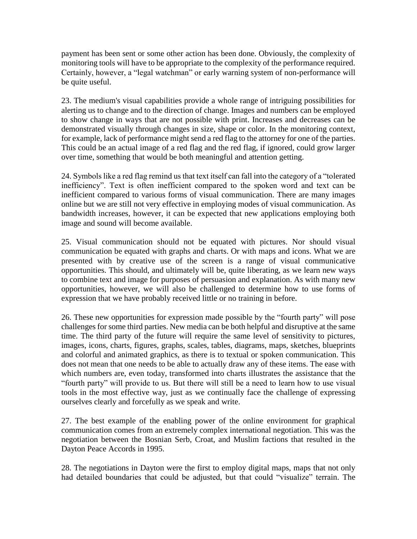payment has been sent or some other action has been done. Obviously, the complexity of monitoring tools will have to be appropriate to the complexity of the performance required. Certainly, however, a "legal watchman" or early warning system of non-performance will be quite useful.

23. The medium's visual capabilities provide a whole range of intriguing possibilities for alerting us to change and to the direction of change. Images and numbers can be employed to show change in ways that are not possible with print. Increases and decreases can be demonstrated visually through changes in size, shape or color. In the monitoring context, for example, lack of performance might send a red flag to the attorney for one of the parties. This could be an actual image of a red flag and the red flag, if ignored, could grow larger over time, something that would be both meaningful and attention getting.

24. Symbols like a red flag remind us that text itself can fall into the category of a "tolerated inefficiency". Text is often inefficient compared to the spoken word and text can be inefficient compared to various forms of visual communication. There are many images online but we are still not very effective in employing modes of visual communication. As bandwidth increases, however, it can be expected that new applications employing both image and sound will become available.

25. Visual communication should not be equated with pictures. Nor should visual communication be equated with graphs and charts. Or with maps and icons. What we are presented with by creative use of the screen is a range of visual communicative opportunities. This should, and ultimately will be, quite liberating, as we learn new ways to combine text and image for purposes of persuasion and explanation. As with many new opportunities, however, we will also be challenged to determine how to use forms of expression that we have probably received little or no training in before.

26. These new opportunities for expression made possible by the "fourth party" will pose challenges for some third parties. New media can be both helpful and disruptive at the same time. The third party of the future will require the same level of sensitivity to pictures, images, icons, charts, figures, graphs, scales, tables, diagrams, maps, sketches, blueprints and colorful and animated graphics, as there is to textual or spoken communication. This does not mean that one needs to be able to actually draw any of these items. The ease with which numbers are, even today, transformed into charts illustrates the assistance that the "fourth party" will provide to us. But there will still be a need to learn how to use visual tools in the most effective way, just as we continually face the challenge of expressing ourselves clearly and forcefully as we speak and write.

27. The best example of the enabling power of the online environment for graphical communication comes from an extremely complex international negotiation. This was the negotiation between the Bosnian Serb, Croat, and Muslim factions that resulted in the Dayton Peace Accords in 1995.

28. The negotiations in Dayton were the first to employ digital maps, maps that not only had detailed boundaries that could be adjusted, but that could "visualize" terrain. The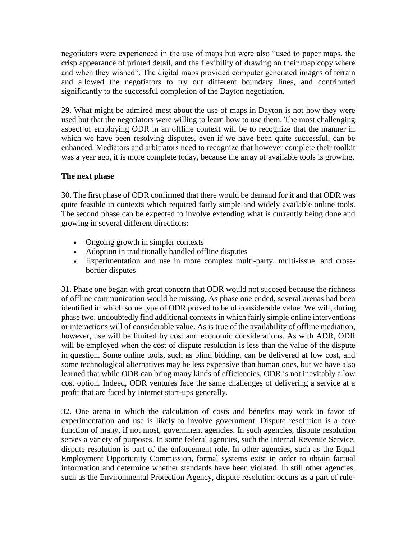negotiators were experienced in the use of maps but were also "used to paper maps, the crisp appearance of printed detail, and the flexibility of drawing on their map copy where and when they wished". The digital maps provided computer generated images of terrain and allowed the negotiators to try out different boundary lines, and contributed significantly to the successful completion of the Dayton negotiation.

29. What might be admired most about the use of maps in Dayton is not how they were used but that the negotiators were willing to learn how to use them. The most challenging aspect of employing ODR in an offline context will be to recognize that the manner in which we have been resolving disputes, even if we have been quite successful, can be enhanced. Mediators and arbitrators need to recognize that however complete their toolkit was a year ago, it is more complete today, because the array of available tools is growing.

### **The next phase**

30. The first phase of ODR confirmed that there would be demand for it and that ODR was quite feasible in contexts which required fairly simple and widely available online tools. The second phase can be expected to involve extending what is currently being done and growing in several different directions:

- Ongoing growth in simpler contexts
- Adoption in traditionally handled offline disputes
- Experimentation and use in more complex multi-party, multi-issue, and crossborder disputes

31. Phase one began with great concern that ODR would not succeed because the richness of offline communication would be missing. As phase one ended, several arenas had been identified in which some type of ODR proved to be of considerable value. We will, during phase two, undoubtedly find additional contexts in which fairly simple online interventions or interactions will of considerable value. As is true of the availability of offline mediation, however, use will be limited by cost and economic considerations. As with ADR, ODR will be employed when the cost of dispute resolution is less than the value of the dispute in question. Some online tools, such as blind bidding, can be delivered at low cost, and some technological alternatives may be less expensive than human ones, but we have also learned that while ODR can bring many kinds of efficiencies, ODR is not inevitably a low cost option. Indeed, ODR ventures face the same challenges of delivering a service at a profit that are faced by Internet start-ups generally.

32. One arena in which the calculation of costs and benefits may work in favor of experimentation and use is likely to involve government. Dispute resolution is a core function of many, if not most, government agencies. In such agencies, dispute resolution serves a variety of purposes. In some federal agencies, such the Internal Revenue Service, dispute resolution is part of the enforcement role. In other agencies, such as the Equal Employment Opportunity Commission, formal systems exist in order to obtain factual information and determine whether standards have been violated. In still other agencies, such as the Environmental Protection Agency, dispute resolution occurs as a part of rule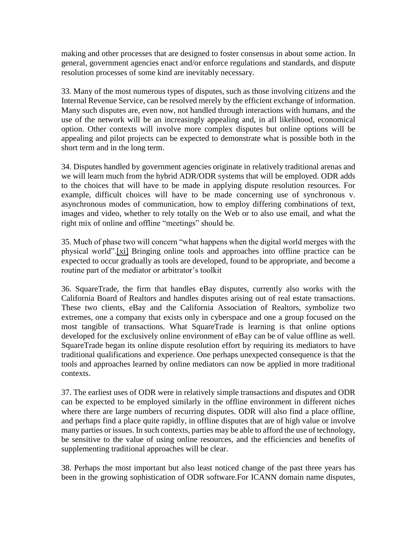making and other processes that are designed to foster consensus in about some action. In general, government agencies enact and/or enforce regulations and standards, and dispute resolution processes of some kind are inevitably necessary.

33. Many of the most numerous types of disputes, such as those involving citizens and the Internal Revenue Service, can be resolved merely by the efficient exchange of information. Many such disputes are, even now, not handled through interactions with humans, and the use of the network will be an increasingly appealing and, in all likelihood, economical option. Other contexts will involve more complex disputes but online options will be appealing and pilot projects can be expected to demonstrate what is possible both in the short term and in the long term.

34. Disputes handled by government agencies originate in relatively traditional arenas and we will learn much from the hybrid ADR/ODR systems that will be employed. ODR adds to the choices that will have to be made in applying dispute resolution resources. For example, difficult choices will have to be made concerning use of synchronous v. asynchronous modes of communication, how to employ differing combinations of text, images and video, whether to rely totally on the Web or to also use email, and what the right mix of online and offline "meetings" should be.

35. Much of phase two will concern "what happens when the digital world merges with the physical world"[.\[xi\]](http://www.lex-electronica.org/docs/articles_140.htm#_edn11) Bringing online tools and approaches into offline practice can be expected to occur gradually as tools are developed, found to be appropriate, and become a routine part of the mediator or arbitrator's toolkit

36. SquareTrade, the firm that handles eBay disputes, currently also works with the California Board of Realtors and handles disputes arising out of real estate transactions. These two clients, eBay and the California Association of Realtors, symbolize two extremes, one a company that exists only in cyberspace and one a group focused on the most tangible of transactions. What SquareTrade is learning is that online options developed for the exclusively online environment of eBay can be of value offline as well. SquareTrade began its online dispute resolution effort by requiring its mediators to have traditional qualifications and experience. One perhaps unexpected consequence is that the tools and approaches learned by online mediators can now be applied in more traditional contexts.

37. The earliest uses of ODR were in relatively simple transactions and disputes and ODR can be expected to be employed similarly in the offline environment in different niches where there are large numbers of recurring disputes. ODR will also find a place offline, and perhaps find a place quite rapidly, in offline disputes that are of high value or involve many parties or issues. In such contexts, parties may be able to afford the use of technology, be sensitive to the value of using online resources, and the efficiencies and benefits of supplementing traditional approaches will be clear.

38. Perhaps the most important but also least noticed change of the past three years has been in the growing sophistication of ODR software.For ICANN domain name disputes,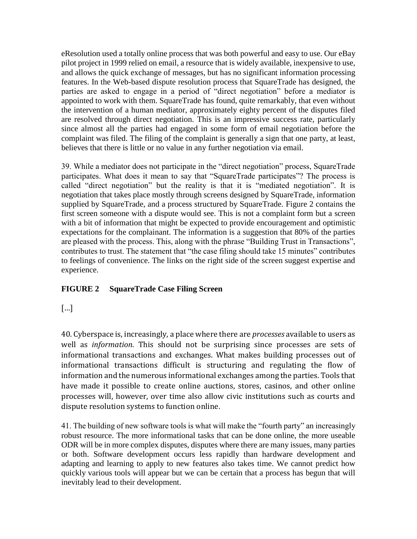eResolution used a totally online process that was both powerful and easy to use. Our eBay pilot project in 1999 relied on email, a resource that is widely available, inexpensive to use, and allows the quick exchange of messages, but has no significant information processing features. In the Web-based dispute resolution process that SquareTrade has designed, the parties are asked to engage in a period of "direct negotiation" before a mediator is appointed to work with them. SquareTrade has found, quite remarkably, that even without the intervention of a human mediator, approximately eighty percent of the disputes filed are resolved through direct negotiation. This is an impressive success rate, particularly since almost all the parties had engaged in some form of email negotiation before the complaint was filed. The filing of the complaint is generally a sign that one party, at least, believes that there is little or no value in any further negotiation via email.

39. While a mediator does not participate in the "direct negotiation" process, SquareTrade participates. What does it mean to say that "SquareTrade participates"? The process is called "direct negotiation" but the reality is that it is "mediated negotiation". It is negotiation that takes place mostly through screens designed by SquareTrade, information supplied by SquareTrade, and a process structured by SquareTrade. Figure 2 contains the first screen someone with a dispute would see. This is not a complaint form but a screen with a bit of information that might be expected to provide encouragement and optimistic expectations for the complainant. The information is a suggestion that 80% of the parties are pleased with the process. This, along with the phrase "Building Trust in Transactions", contributes to trust. The statement that "the case filing should take 15 minutes" contributes to feelings of convenience. The links on the right side of the screen suggest expertise and experience.

## **FIGURE 2 SquareTrade Case Filing Screen**

[…]

40. Cyberspace is, increasingly, a place where there are *processes* available to users as well as *information*. This should not be surprising since processes are sets of informational transactions and exchanges. What makes building processes out of informational transactions difficult is structuring and regulating the flow of information and the numerous informational exchanges among the parties. Tools that have made it possible to create online auctions, stores, casinos, and other online processes will, however, over time also allow civic institutions such as courts and dispute resolution systems to function online.

41. The building of new software tools is what will make the "fourth party" an increasingly robust resource. The more informational tasks that can be done online, the more useable ODR will be in more complex disputes, disputes where there are many issues, many parties or both. Software development occurs less rapidly than hardware development and adapting and learning to apply to new features also takes time. We cannot predict how quickly various tools will appear but we can be certain that a process has begun that will inevitably lead to their development.